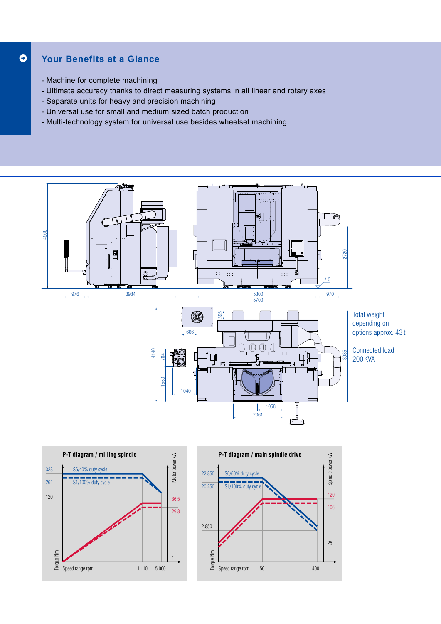## **Your Benefits at a Glance**  $\bullet$

- Machine for complete machining
- Ultimate accuracy thanks to direct measuring systems in all linear and rotary axes
- Separate units for heavy and precision machining
- Universal use for small and medium sized batch production
- Multi-technology system for universal use besides wheelset machining